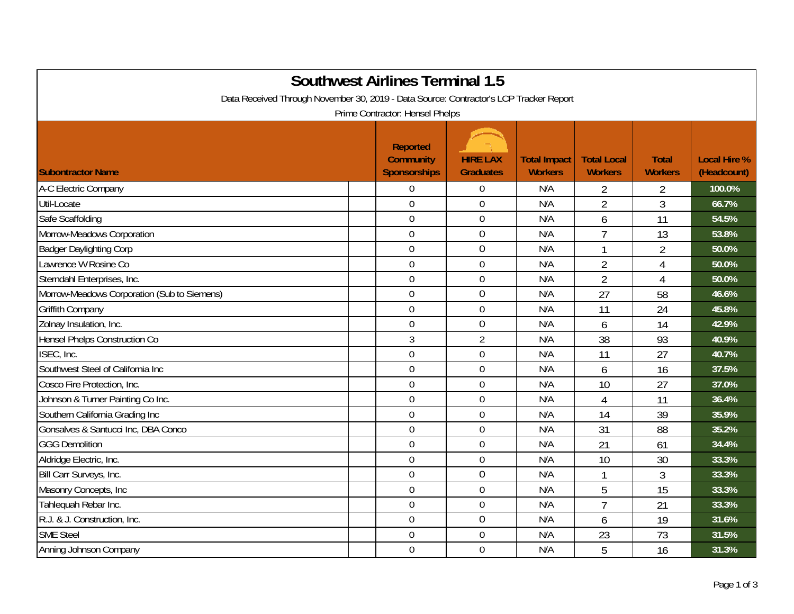| <b>Southwest Airlines Terminal 1.5</b><br>Data Received Through November 30, 2019 - Data Source: Contractor's LCP Tracker Report<br>Prime Contractor: Hensel Phelps |                                                            |                                     |                                       |                                      |                                |                                    |  |  |
|---------------------------------------------------------------------------------------------------------------------------------------------------------------------|------------------------------------------------------------|-------------------------------------|---------------------------------------|--------------------------------------|--------------------------------|------------------------------------|--|--|
| <b>Subontractor Name</b>                                                                                                                                            | <b>Reported</b><br><b>Community</b><br><b>Sponsorships</b> | <b>HIRE LAX</b><br><b>Graduates</b> | <b>Total Impact</b><br><b>Workers</b> | <b>Total Local</b><br><b>Workers</b> | <b>Total</b><br><b>Workers</b> | <b>Local Hire %</b><br>(Headcount) |  |  |
| A-C Electric Company                                                                                                                                                | $\overline{0}$                                             | $\boldsymbol{0}$                    | N/A                                   | 2                                    | $\overline{2}$                 | 100.0%                             |  |  |
| Util-Locate                                                                                                                                                         | $\overline{0}$                                             | $\mathbf 0$                         | N/A                                   | $\overline{2}$                       | $\overline{3}$                 | 66.7%                              |  |  |
| Safe Scaffolding                                                                                                                                                    | $\overline{0}$                                             | $\mathbf 0$                         | N/A                                   | 6                                    | 11                             | 54.5%                              |  |  |
| Morrow-Meadows Corporation                                                                                                                                          | $\mathbf 0$                                                | $\boldsymbol{0}$                    | N/A                                   | $\overline{7}$                       | 13                             | 53.8%                              |  |  |
| <b>Badger Daylighting Corp</b>                                                                                                                                      | $\mathbf 0$                                                | $\mathbf 0$                         | N/A                                   | $\mathbf{1}$                         | $\overline{2}$                 | 50.0%                              |  |  |
| Lawrence W Rosine Co                                                                                                                                                | $\overline{0}$                                             | $\boldsymbol{0}$                    | N/A                                   | $\overline{2}$                       | $\overline{4}$                 | 50.0%                              |  |  |
| Sterndahl Enterprises, Inc.                                                                                                                                         | $\mathbf 0$                                                | $\boldsymbol{0}$                    | N/A                                   | $\overline{2}$                       | $\overline{4}$                 | 50.0%                              |  |  |
| Morrow-Meadows Corporation (Sub to Siemens)                                                                                                                         | $\mathbf 0$                                                | $\mathbf 0$                         | N/A                                   | 27                                   | 58                             | 46.6%                              |  |  |
| Griffith Company                                                                                                                                                    | $\overline{0}$                                             | $\mathbf 0$                         | N/A                                   | 11                                   | 24                             | 45.8%                              |  |  |
| Zolnay Insulation, Inc.                                                                                                                                             | $\overline{0}$                                             | $\mathbf 0$                         | N/A                                   | 6                                    | 14                             | 42.9%                              |  |  |
| Hensel Phelps Construction Co                                                                                                                                       | $\mathfrak{Z}$                                             | $\overline{2}$                      | N/A                                   | 38                                   | 93                             | 40.9%                              |  |  |
| ISEC, Inc.                                                                                                                                                          | $\mathbf 0$                                                | $\mathbf 0$                         | N/A                                   | 11                                   | 27                             | 40.7%                              |  |  |
| Southwest Steel of California Inc                                                                                                                                   | $\mathbf 0$                                                | $\boldsymbol{0}$                    | N/A                                   | 6                                    | 16                             | 37.5%                              |  |  |
| Cosco Fire Protection, Inc.                                                                                                                                         | $\mathbf 0$                                                | $\boldsymbol{0}$                    | N/A                                   | 10                                   | 27                             | 37.0%                              |  |  |
| Johnson & Turner Painting Co Inc.                                                                                                                                   | $\overline{0}$                                             | $\boldsymbol{0}$                    | N/A                                   | $\overline{4}$                       | 11                             | 36.4%                              |  |  |
| Southern California Grading Inc                                                                                                                                     | $\overline{0}$                                             | $\mathbf 0$                         | N/A                                   | 14                                   | 39                             | 35.9%                              |  |  |
| Gonsalves & Santucci Inc, DBA Conco                                                                                                                                 | $\overline{0}$                                             | $\mathbf 0$                         | N/A                                   | 31                                   | 88                             | 35.2%                              |  |  |
| <b>GGG Demolition</b>                                                                                                                                               | $\mathbf 0$                                                | $\mathbf 0$                         | N/A                                   | 21                                   | 61                             | 34.4%                              |  |  |
| Aldridge Electric, Inc.                                                                                                                                             | $\mathbf 0$                                                | $\mathbf 0$                         | N/A                                   | 10                                   | 30                             | 33.3%                              |  |  |
| Bill Carr Surveys, Inc.                                                                                                                                             | $\mathbf 0$                                                | $\boldsymbol{0}$                    | N/A                                   | 1                                    | 3                              | 33.3%                              |  |  |
| Masonry Concepts, Inc                                                                                                                                               | $\mathbf 0$                                                | $\boldsymbol{0}$                    | N/A                                   | 5                                    | 15                             | 33.3%                              |  |  |
| Tahlequah Rebar Inc.                                                                                                                                                | $\overline{0}$                                             | $\boldsymbol{0}$                    | N/A                                   | $\overline{7}$                       | 21                             | 33.3%                              |  |  |
| R.J. & J. Construction, Inc.                                                                                                                                        | $\overline{0}$                                             | $\mathbf 0$                         | N/A                                   | 6                                    | 19                             | 31.6%                              |  |  |
| <b>SME Steel</b>                                                                                                                                                    | $\overline{0}$                                             | $\boldsymbol{0}$                    | N/A                                   | 23                                   | 73                             | 31.5%                              |  |  |
| Anning Johnson Company                                                                                                                                              | $\overline{0}$                                             | $\mathbf 0$                         | N/A                                   | 5                                    | 16                             | 31.3%                              |  |  |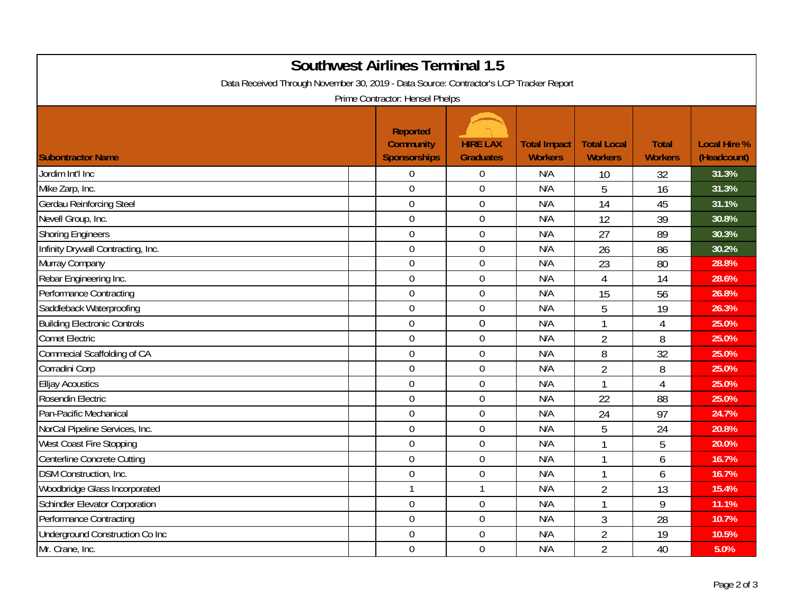| <b>Southwest Airlines Terminal 1.5</b><br>Data Received Through November 30, 2019 - Data Source: Contractor's LCP Tracker Report<br>Prime Contractor: Hensel Phelps |                                                     |                                     |                                       |                                      |                                |                                    |  |  |
|---------------------------------------------------------------------------------------------------------------------------------------------------------------------|-----------------------------------------------------|-------------------------------------|---------------------------------------|--------------------------------------|--------------------------------|------------------------------------|--|--|
| <b>Subontractor Name</b>                                                                                                                                            | <b>Reported</b><br><b>Community</b><br>Sponsorships | <b>HIRE LAX</b><br><b>Graduates</b> | <b>Total Impact</b><br><b>Workers</b> | <b>Total Local</b><br><b>Workers</b> | <b>Total</b><br><b>Workers</b> | <b>Local Hire %</b><br>(Headcount) |  |  |
| Jordim Int'l Inc                                                                                                                                                    | $\mathbf 0$                                         | $\boldsymbol{0}$                    | N/A                                   | 10                                   | 32                             | 31.3%                              |  |  |
| Mike Zarp, Inc.                                                                                                                                                     | $\overline{0}$                                      | $\boldsymbol{0}$                    | N/A                                   | 5                                    | 16                             | 31.3%                              |  |  |
| <b>Gerdau Reinforcing Steel</b>                                                                                                                                     | $\overline{0}$                                      | $\overline{0}$                      | N/A                                   | 14                                   | 45                             | 31.1%                              |  |  |
| Nevell Group, Inc.                                                                                                                                                  | $\mathbf 0$                                         | $\mathbf 0$                         | N/A                                   | 12                                   | 39                             | 30.8%                              |  |  |
| <b>Shoring Engineers</b>                                                                                                                                            | $\overline{0}$                                      | $\boldsymbol{0}$                    | N/A                                   | 27                                   | 89                             | 30.3%                              |  |  |
| Infinity Drywall Contracting, Inc.                                                                                                                                  | $\mathbf 0$                                         | $\mathbf 0$                         | N/A                                   | 26                                   | 86                             | 30.2%                              |  |  |
| Murray Company                                                                                                                                                      | $\mathbf 0$                                         | $\boldsymbol{0}$                    | N/A                                   | 23                                   | 80                             | 28.8%                              |  |  |
| Rebar Engineering Inc.                                                                                                                                              | $\overline{0}$                                      | $\overline{0}$                      | N/A                                   | $\overline{4}$                       | 14                             | 28.6%                              |  |  |
| <b>Performance Contracting</b>                                                                                                                                      | $\mathbf 0$                                         | $\overline{0}$                      | N/A                                   | 15                                   | 56                             | 26.8%                              |  |  |
| Saddleback Waterproofing                                                                                                                                            | $\overline{0}$                                      | $\boldsymbol{0}$                    | N/A                                   | 5                                    | 19                             | 26.3%                              |  |  |
| <b>Building Electronic Controls</b>                                                                                                                                 | $\mathbf 0$                                         | $\mathbf 0$                         | N/A                                   | 1                                    | $\overline{4}$                 | 25.0%                              |  |  |
| <b>Comet Electric</b>                                                                                                                                               | $\mathbf 0$                                         | $\boldsymbol{0}$                    | N/A                                   | $\overline{2}$                       | 8                              | 25.0%                              |  |  |
| <b>Commecial Scaffolding of CA</b>                                                                                                                                  | $\overline{0}$                                      | $\boldsymbol{0}$                    | N/A                                   | 8                                    | 32                             | 25.0%                              |  |  |
| Corradini Corp                                                                                                                                                      | $\overline{0}$                                      | $\overline{0}$                      | N/A                                   | $\overline{2}$                       | 8                              | 25.0%                              |  |  |
| <b>Elljay Acoustics</b>                                                                                                                                             | $\mathbf 0$                                         | $\mathbf 0$                         | N/A                                   | $\mathbf{1}$                         | $\overline{4}$                 | 25.0%                              |  |  |
| Rosendin Electric                                                                                                                                                   | $\overline{0}$                                      | $\boldsymbol{0}$                    | N/A                                   | 22                                   | 88                             | 25.0%                              |  |  |
| Pan-Pacific Mechanical                                                                                                                                              | $\overline{0}$                                      | $\mathbf 0$                         | N/A                                   | 24                                   | 97                             | 24.7%                              |  |  |
| NorCal Pipeline Services, Inc.                                                                                                                                      | $\mathbf 0$                                         | $\overline{0}$                      | N/A                                   | 5                                    | 24                             | 20.8%                              |  |  |
| West Coast Fire Stopping                                                                                                                                            | $\overline{0}$                                      | $\overline{0}$                      | N/A                                   | 1                                    | 5                              | 20.0%                              |  |  |
| Centerline Concrete Cutting                                                                                                                                         | $\mathbf 0$                                         | $\mathbf 0$                         | N/A                                   | 1                                    | 6                              | 16.7%                              |  |  |
| <b>DSM Construction, Inc.</b>                                                                                                                                       | $\mathbf 0$                                         | $\boldsymbol{0}$                    | N/A                                   | 1                                    | 6                              | 16.7%                              |  |  |
| Woodbridge Glass Incorporated                                                                                                                                       | $\mathbf 1$                                         | $\mathbf{1}$                        | N/A                                   | $\overline{2}$                       | 13                             | 15.4%                              |  |  |
| <b>Schindler Elevator Corporation</b>                                                                                                                               | $\mathbf 0$                                         | $\mathbf 0$                         | N/A                                   | 1                                    | 9                              | 11.1%                              |  |  |
| <b>Performance Contracting</b>                                                                                                                                      | $\overline{0}$                                      | $\mathbf 0$                         | N/A                                   | 3                                    | 28                             | 10.7%                              |  |  |
| Underground Construction Co Inc                                                                                                                                     | $\mathbf 0$                                         | $\mathbf 0$                         | N/A                                   | $\overline{2}$                       | 19                             | 10.5%                              |  |  |
| Mr. Crane, Inc.                                                                                                                                                     | $\mathbf 0$                                         | $\mathbf 0$                         | N/A                                   | $\overline{2}$                       | 40                             | 5.0%                               |  |  |